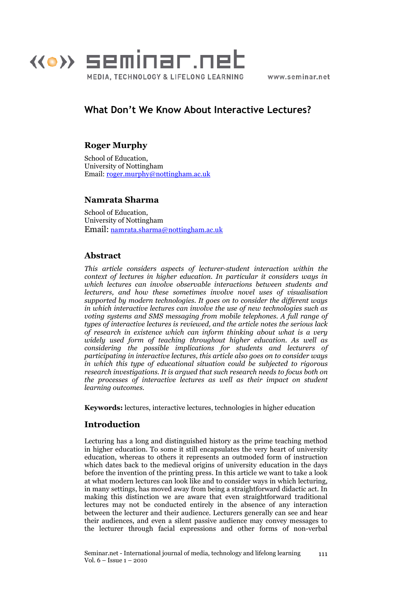

www.seminar.net

# What Don't We Know About Interactive Lectures?

# Roger Murphy

School of Education, University of Nottingham Email: roger.murphy@nottingham.ac.uk

### Namrata Sharma

School of Education, University of Nottingham Email: namrata.sharma@nottingham.ac.uk

## Abstract

This article considers aspects of lecturer-student interaction within the context of lectures in higher education. In particular it considers ways in which lectures can involve observable interactions between students and lecturers, and how these sometimes involve novel uses of visualisation supported by modern technologies. It goes on to consider the different ways in which interactive lectures can involve the use of new technologies such as voting systems and SMS messaging from mobile telephones. A full range of types of interactive lectures is reviewed, and the article notes the serious lack of research in existence which can inform thinking about what is a very widely used form of teaching throughout higher education. As well as considering the possible implications for students and lecturers of participating in interactive lectures, this article also goes on to consider ways in which this type of educational situation could be subjected to rigorous research investigations. It is argued that such research needs to focus both on the processes of interactive lectures as well as their impact on student learning outcomes.

Keywords: lectures, interactive lectures, technologies in higher education

# Introduction

Lecturing has a long and distinguished history as the prime teaching method in higher education. To some it still encapsulates the very heart of university education, whereas to others it represents an outmoded form of instruction which dates back to the medieval origins of university education in the days before the invention of the printing press. In this article we want to take a look at what modern lectures can look like and to consider ways in which lecturing, in many settings, has moved away from being a straightforward didactic act. In making this distinction we are aware that even straightforward traditional lectures may not be conducted entirely in the absence of any interaction between the lecturer and their audience. Lecturers generally can see and hear their audiences, and even a silent passive audience may convey messages to the lecturer through facial expressions and other forms of non-verbal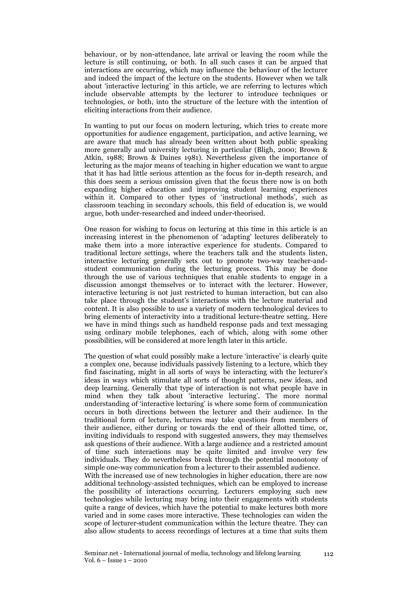behaviour, or by non-attendance, late arrival or leaving the room while the lecture is still continuing, or both. In all such cases it can be argued that interactions are occurring, which may influence the behaviour of the lecturer and indeed the impact of the lecture on the students. However when we talk about 'interactive lecturing' in this article, we are referring to lectures which include observable attempts by the lecturer to introduce techniques or technologies, or both, into the structure of the lecture with the intention of eliciting interactions from their audience.

In wanting to put our focus on modern lecturing, which tries to create more opportunities for audience engagement, participation, and active learning, we are aware that much has already been written about both public speaking more generally and university lecturing in particular (Bligh, 2000; Brown & Atkin, 1988; Brown & Daines 1981). Nevertheless given the importance of lecturing as the major means of teaching in higher education we want to argue that it has had little serious attention as the focus for in-depth research, and this does seem a serious omission given that the focus there now is on both expanding higher education and improving student learning experiences within it. Compared to other types of 'instructional methods', such as classroom teaching in secondary schools, this field of education is, we would argue, both under-researched and indeed under-theorised.

One reason for wishing to focus on lecturing at this time in this article is an increasing interest in the phenomenon of 'adapting' lectures deliberately to make them into a more interactive experience for students. Compared to traditional lecture settings, where the teachers talk and the students listen, interactive lecturing generally sets out to promote two-way teacher-andstudent communication during the lecturing process. This may be done through the use of various techniques that enable students to engage in a discussion amongst themselves or to interact with the lecturer. However, interactive lecturing is not just restricted to human interaction, but can also take place through the student's interactions with the lecture material and content. It is also possible to use a variety of modern technological devices to bring elements of interactivity into a traditional lecture-theatre setting. Here we have in mind things such as handheld response pads and text messaging using ordinary mobile telephones, each of which, along with some other possibilities, will be considered at more length later in this article.

The question of what could possibly make a lecture 'interactive' is clearly quite a complex one, because individuals passively listening to a lecture, which they find fascinating, might in all sorts of ways be interacting with the lecturer's ideas in ways which stimulate all sorts of thought patterns, new ideas, and deep learning. Generally that type of interaction is not what people have in mind when they talk about 'interactive lecturing'. The more normal understanding of 'interactive lecturing' is where some form of communication occurs in both directions between the lecturer and their audience. In the traditional form of lecture, lecturers may take questions from members of their audience, either during or towards the end of their allotted time, or, inviting individuals to respond with suggested answers, they may themselves ask questions of their audience. With a large audience and a restricted amount of time such interactions may be quite limited and involve very few individuals. They do nevertheless break through the potential monotony of simple one-way communication from a lecturer to their assembled audience. With the increased use of new technologies in higher education, there are now additional technology-assisted techniques, which can be employed to increase the possibility of interactions occurring. Lecturers employing such new technologies while lecturing may bring into their engagements with students

quite a range of devices, which have the potential to make lectures both more varied and in some cases more interactive. These technologies can widen the scope of lecturer-student communication within the lecture theatre. They can also allow students to access recordings of lectures at a time that suits them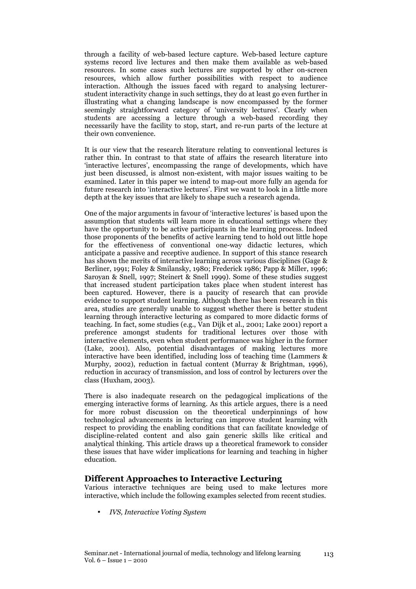through a facility of web-based lecture capture. Web-based lecture capture systems record live lectures and then make them available as web-based resources. In some cases such lectures are supported by other on-screen resources, which allow further possibilities with respect to audience interaction. Although the issues faced with regard to analysing lecturerstudent interactivity change in such settings, they do at least go even further in illustrating what a changing landscape is now encompassed by the former seemingly straightforward category of 'university lectures'. Clearly when students are accessing a lecture through a web-based recording they necessarily have the facility to stop, start, and re-run parts of the lecture at their own convenience.

It is our view that the research literature relating to conventional lectures is rather thin. In contrast to that state of affairs the research literature into 'interactive lectures', encompassing the range of developments, which have just been discussed, is almost non-existent, with major issues waiting to be examined. Later in this paper we intend to map-out more fully an agenda for future research into 'interactive lectures'. First we want to look in a little more depth at the key issues that are likely to shape such a research agenda.

One of the major arguments in favour of 'interactive lectures' is based upon the assumption that students will learn more in educational settings where they have the opportunity to be active participants in the learning process. Indeed those proponents of the benefits of active learning tend to hold out little hope for the effectiveness of conventional one-way didactic lectures, which anticipate a passive and receptive audience. In support of this stance research has shown the merits of interactive learning across various disciplines (Gage & Berliner, 1991; Foley & Smilansky, 1980; Frederick 1986; Papp & Miller, 1996; Saroyan & Snell, 1997; Steinert & Snell 1999). Some of these studies suggest that increased student participation takes place when student interest has been captured. However, there is a paucity of research that can provide evidence to support student learning. Although there has been research in this area, studies are generally unable to suggest whether there is better student learning through interactive lecturing as compared to more didactic forms of teaching. In fact, some studies (e.g., Van Dijk et al., 2001; Lake 2001) report a preference amongst students for traditional lectures over those with interactive elements, even when student performance was higher in the former (Lake, 2001). Also, potential disadvantages of making lectures more interactive have been identified, including loss of teaching time (Lammers & Murphy, 2002), reduction in factual content (Murray & Brightman, 1996), reduction in accuracy of transmission, and loss of control by lecturers over the class (Huxham, 2003).

There is also inadequate research on the pedagogical implications of the emerging interactive forms of learning. As this article argues, there is a need for more robust discussion on the theoretical underpinnings of how technological advancements in lecturing can improve student learning with respect to providing the enabling conditions that can facilitate knowledge of discipline-related content and also gain generic skills like critical and analytical thinking. This article draws up a theoretical framework to consider these issues that have wider implications for learning and teaching in higher education.

### Different Approaches to Interactive Lecturing

Various interactive techniques are being used to make lectures more interactive, which include the following examples selected from recent studies.

• IVS, Interactive Voting System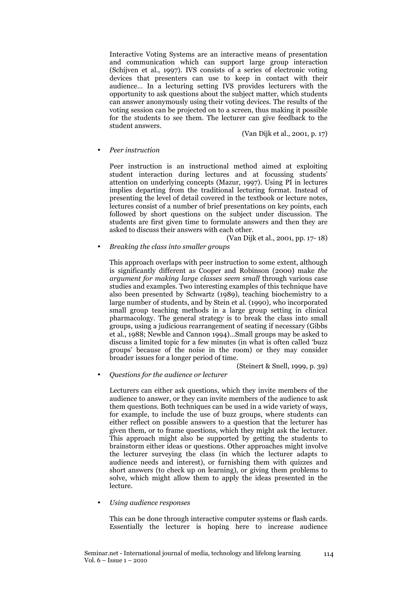Interactive Voting Systems are an interactive means of presentation and communication which can support large group interaction (Schijven et al., 1997). IVS consists of a series of electronic voting devices that presenters can use to keep in contact with their audience… In a lecturing setting IVS provides lecturers with the opportunity to ask questions about the subject matter, which students can answer anonymously using their voting devices. The results of the voting session can be projected on to a screen, thus making it possible for the students to see them. The lecturer can give feedback to the student answers.

(Van Dijk et al., 2001, p. 17)

#### • Peer instruction

Peer instruction is an instructional method aimed at exploiting student interaction during lectures and at focussing students' attention on underlying concepts (Mazur, 1997). Using PI in lectures implies departing from the traditional lecturing format. Instead of presenting the level of detail covered in the textbook or lecture notes, lectures consist of a number of brief presentations on key points, each followed by short questions on the subject under discussion. The students are first given time to formulate answers and then they are asked to discuss their answers with each other.

(Van Dijk et al., 2001, pp. 17- 18)

• Breaking the class into smaller groups

This approach overlaps with peer instruction to some extent, although is significantly different as Cooper and Robinson (2000) make the argument for making large classes seem small through various case studies and examples. Two interesting examples of this technique have also been presented by Schwartz (1989), teaching biochemistry to a large number of students, and by Stein et al. (1990), who incorporated small group teaching methods in a large group setting in clinical pharmacology. The general strategy is to break the class into small groups, using a judicious rearrangement of seating if necessary (Gibbs et al., 1988; Newble and Cannon 1994)…Small groups may be asked to discuss a limited topic for a few minutes (in what is often called 'buzz groups' because of the noise in the room) or they may consider broader issues for a longer period of time.

(Steinert & Snell, 1999, p. 39)

• Questions for the audience or lecturer

Lecturers can either ask questions, which they invite members of the audience to answer, or they can invite members of the audience to ask them questions. Both techniques can be used in a wide variety of ways, for example, to include the use of buzz groups, where students can either reflect on possible answers to a question that the lecturer has given them, or to frame questions, which they might ask the lecturer. This approach might also be supported by getting the students to brainstorm either ideas or questions. Other approaches might involve the lecturer surveying the class (in which the lecturer adapts to audience needs and interest), or furnishing them with quizzes and short answers (to check up on learning), or giving them problems to solve, which might allow them to apply the ideas presented in the lecture.

• Using audience responses

This can be done through interactive computer systems or flash cards. Essentially the lecturer is hoping here to increase audience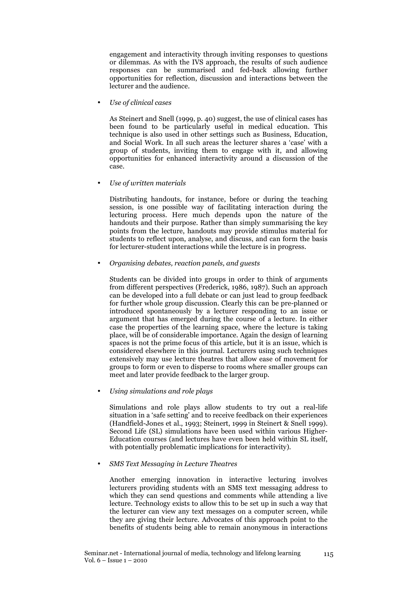engagement and interactivity through inviting responses to questions or dilemmas. As with the IVS approach, the results of such audience responses can be summarised and fed-back allowing further opportunities for reflection, discussion and interactions between the lecturer and the audience.

• Use of clinical cases

As Steinert and Snell (1999, p. 40) suggest, the use of clinical cases has been found to be particularly useful in medical education. This technique is also used in other settings such as Business, Education, and Social Work. In all such areas the lecturer shares a 'case' with a group of students, inviting them to engage with it, and allowing opportunities for enhanced interactivity around a discussion of the case.

• Use of written materials

Distributing handouts, for instance, before or during the teaching session, is one possible way of facilitating interaction during the lecturing process. Here much depends upon the nature of the handouts and their purpose. Rather than simply summarising the key points from the lecture, handouts may provide stimulus material for students to reflect upon, analyse, and discuss, and can form the basis for lecturer-student interactions while the lecture is in progress.

• Organising debates, reaction panels, and guests

Students can be divided into groups in order to think of arguments from different perspectives (Frederick, 1986, 1987). Such an approach can be developed into a full debate or can just lead to group feedback for further whole group discussion. Clearly this can be pre-planned or introduced spontaneously by a lecturer responding to an issue or argument that has emerged during the course of a lecture. In either case the properties of the learning space, where the lecture is taking place, will be of considerable importance. Again the design of learning spaces is not the prime focus of this article, but it is an issue, which is considered elsewhere in this journal. Lecturers using such techniques extensively may use lecture theatres that allow ease of movement for groups to form or even to disperse to rooms where smaller groups can meet and later provide feedback to the larger group.

• Using simulations and role plays

Simulations and role plays allow students to try out a real-life situation in a 'safe setting' and to receive feedback on their experiences (Handfield-Jones et al., 1993; Steinert, 1999 in Steinert & Snell 1999). Second Life (SL) simulations have been used within various Higher-Education courses (and lectures have even been held within SL itself, with potentially problematic implications for interactivity).

#### • SMS Text Messaging in Lecture Theatres

Another emerging innovation in interactive lecturing involves lecturers providing students with an SMS text messaging address to which they can send questions and comments while attending a live lecture. Technology exists to allow this to be set up in such a way that the lecturer can view any text messages on a computer screen, while they are giving their lecture. Advocates of this approach point to the benefits of students being able to remain anonymous in interactions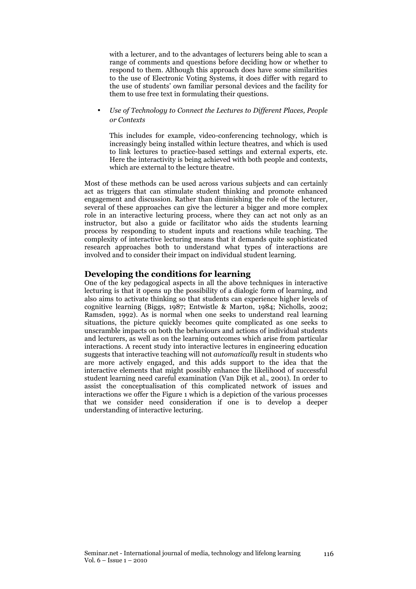with a lecturer, and to the advantages of lecturers being able to scan a range of comments and questions before deciding how or whether to respond to them. Although this approach does have some similarities to the use of Electronic Voting Systems, it does differ with regard to the use of students' own familiar personal devices and the facility for them to use free text in formulating their questions.

• Use of Technology to Connect the Lectures to Different Places, People or Contexts

This includes for example, video-conferencing technology, which is increasingly being installed within lecture theatres, and which is used to link lectures to practice-based settings and external experts, etc. Here the interactivity is being achieved with both people and contexts, which are external to the lecture theatre.

Most of these methods can be used across various subjects and can certainly act as triggers that can stimulate student thinking and promote enhanced engagement and discussion. Rather than diminishing the role of the lecturer, several of these approaches can give the lecturer a bigger and more complex role in an interactive lecturing process, where they can act not only as an instructor, but also a guide or facilitator who aids the students learning process by responding to student inputs and reactions while teaching. The complexity of interactive lecturing means that it demands quite sophisticated research approaches both to understand what types of interactions are involved and to consider their impact on individual student learning.

### Developing the conditions for learning

One of the key pedagogical aspects in all the above techniques in interactive lecturing is that it opens up the possibility of a dialogic form of learning, and also aims to activate thinking so that students can experience higher levels of cognitive learning (Biggs, 1987; Entwistle & Marton, 1984; Nicholls, 2002; Ramsden, 1992). As is normal when one seeks to understand real learning situations, the picture quickly becomes quite complicated as one seeks to unscramble impacts on both the behaviours and actions of individual students and lecturers, as well as on the learning outcomes which arise from particular interactions. A recent study into interactive lectures in engineering education suggests that interactive teaching will not automatically result in students who are more actively engaged, and this adds support to the idea that the interactive elements that might possibly enhance the likelihood of successful student learning need careful examination (Van Dijk et al., 2001). In order to assist the conceptualisation of this complicated network of issues and interactions we offer the Figure 1 which is a depiction of the various processes that we consider need consideration if one is to develop a deeper understanding of interactive lecturing.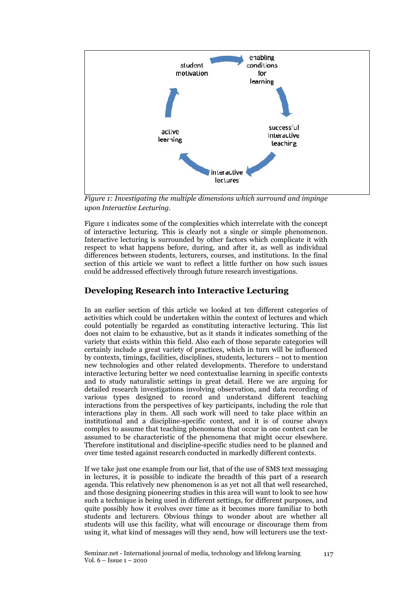

Figure 1: Investigating the multiple dimensions which surround and impinge upon Interactive Lecturing.

Figure 1 indicates some of the complexities which interrelate with the concept of interactive lecturing. This is clearly not a single or simple phenomenon. Interactive lecturing is surrounded by other factors which complicate it with respect to what happens before, during, and after it, as well as individual differences between students, lecturers, courses, and institutions. In the final section of this article we want to reflect a little further on how such issues could be addressed effectively through future research investigations.

### Developing Research into Interactive Lecturing

In an earlier section of this article we looked at ten different categories of activities which could be undertaken within the context of lectures and which could potentially be regarded as constituting interactive lecturing. This list does not claim to be exhaustive, but as it stands it indicates something of the variety that exists within this field. Also each of those separate categories will certainly include a great variety of practices, which in turn will be influenced by contexts, timings, facilities, disciplines, students, lecturers – not to mention new technologies and other related developments. Therefore to understand interactive lecturing better we need contextualise learning in specific contexts and to study naturalistic settings in great detail. Here we are arguing for detailed research investigations involving observation, and data recording of various types designed to record and understand different teaching interactions from the perspectives of key participants, including the role that interactions play in them. All such work will need to take place within an institutional and a discipline-specific context, and it is of course always complex to assume that teaching phenomena that occur in one context can be assumed to be characteristic of the phenomena that might occur elsewhere. Therefore institutional and discipline-specific studies need to be planned and over time tested against research conducted in markedly different contexts.

If we take just one example from our list, that of the use of SMS text messaging in lectures, it is possible to indicate the breadth of this part of a research agenda. This relatively new phenomenon is as yet not all that well researched, and those designing pioneering studies in this area will want to look to see how such a technique is being used in different settings, for different purposes, and quite possibly how it evolves over time as it becomes more familiar to both students and lecturers. Obvious things to wonder about are whether all students will use this facility, what will encourage or discourage them from using it, what kind of messages will they send, how will lecturers use the text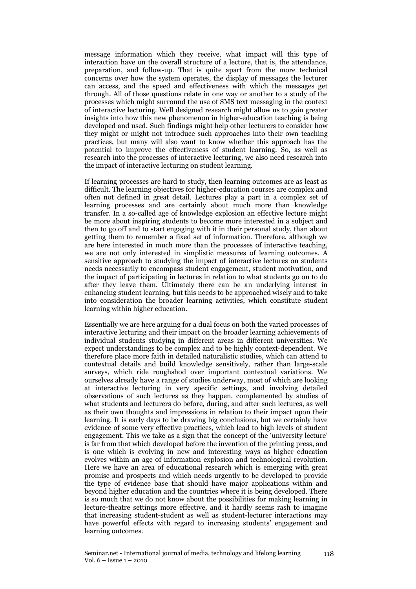message information which they receive, what impact will this type of interaction have on the overall structure of a lecture, that is, the attendance, preparation, and follow-up. That is quite apart from the more technical concerns over how the system operates, the display of messages the lecturer can access, and the speed and effectiveness with which the messages get through. All of those questions relate in one way or another to a study of the processes which might surround the use of SMS text messaging in the context of interactive lecturing. Well designed research might allow us to gain greater insights into how this new phenomenon in higher-education teaching is being developed and used. Such findings might help other lecturers to consider how they might or might not introduce such approaches into their own teaching practices, but many will also want to know whether this approach has the potential to improve the effectiveness of student learning. So, as well as research into the processes of interactive lecturing, we also need research into the impact of interactive lecturing on student learning.

If learning processes are hard to study, then learning outcomes are as least as difficult. The learning objectives for higher-education courses are complex and often not defined in great detail. Lectures play a part in a complex set of learning processes and are certainly about much more than knowledge transfer. In a so-called age of knowledge explosion an effective lecture might be more about inspiring students to become more interested in a subject and then to go off and to start engaging with it in their personal study, than about getting them to remember a fixed set of information. Therefore, although we are here interested in much more than the processes of interactive teaching, we are not only interested in simplistic measures of learning outcomes. A sensitive approach to studying the impact of interactive lectures on students needs necessarily to encompass student engagement, student motivation, and the impact of participating in lectures in relation to what students go on to do after they leave them. Ultimately there can be an underlying interest in enhancing student learning, but this needs to be approached wisely and to take into consideration the broader learning activities, which constitute student learning within higher education.

Essentially we are here arguing for a dual focus on both the varied processes of interactive lecturing and their impact on the broader learning achievements of individual students studying in different areas in different universities. We expect understandings to be complex and to be highly context-dependent. We therefore place more faith in detailed naturalistic studies, which can attend to contextual details and build knowledge sensitively, rather than large-scale surveys, which ride roughshod over important contextual variations. We ourselves already have a range of studies underway, most of which are looking at interactive lecturing in very specific settings, and involving detailed observations of such lectures as they happen, complemented by studies of what students and lecturers do before, during, and after such lectures, as well as their own thoughts and impressions in relation to their impact upon their learning. It is early days to be drawing big conclusions, but we certainly have evidence of some very effective practices, which lead to high levels of student engagement. This we take as a sign that the concept of the 'university lecture' is far from that which developed before the invention of the printing press, and is one which is evolving in new and interesting ways as higher education evolves within an age of information explosion and technological revolution. Here we have an area of educational research which is emerging with great promise and prospects and which needs urgently to be developed to provide the type of evidence base that should have major applications within and beyond higher education and the countries where it is being developed. There is so much that we do not know about the possibilities for making learning in lecture-theatre settings more effective, and it hardly seems rash to imagine that increasing student-student as well as student-lecturer interactions may have powerful effects with regard to increasing students' engagement and learning outcomes.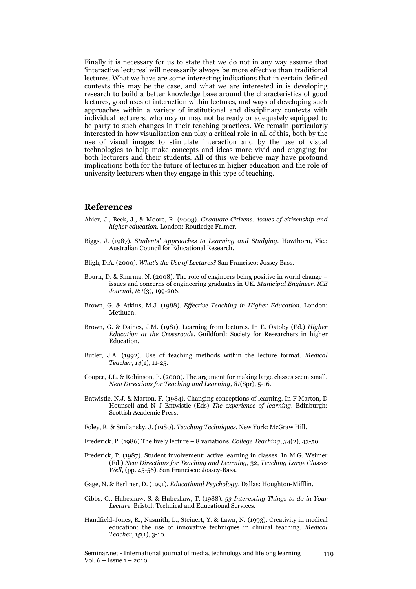Finally it is necessary for us to state that we do not in any way assume that 'interactive lectures' will necessarily always be more effective than traditional lectures. What we have are some interesting indications that in certain defined contexts this may be the case, and what we are interested in is developing research to build a better knowledge base around the characteristics of good lectures, good uses of interaction within lectures, and ways of developing such approaches within a variety of institutional and disciplinary contexts with individual lecturers, who may or may not be ready or adequately equipped to be party to such changes in their teaching practices. We remain particularly interested in how visualisation can play a critical role in all of this, both by the use of visual images to stimulate interaction and by the use of visual technologies to help make concepts and ideas more vivid and engaging for both lecturers and their students. All of this we believe may have profound implications both for the future of lectures in higher education and the role of university lecturers when they engage in this type of teaching.

### **References**

- Ahier, J., Beck, J., & Moore, R. (2003). Graduate Citizens: issues of citizenship and higher education. London: Routledge Falmer.
- Biggs, J. (1987). Students' Approaches to Learning and Studying. Hawthorn, Vic.: Australian Council for Educational Research.
- Bligh, D.A. (2000). What's the Use of Lectures? San Francisco: Jossey Bass.
- Bourn, D. & Sharma, N. (2008). The role of engineers being positive in world change issues and concerns of engineering graduates in UK. Municipal Engineer, ICE Journal, 161(3), 199-206.
- Brown, G. & Atkins, M.J. (1988). Effective Teaching in Higher Education. London: Methuen.
- Brown, G. & Daines, J.M. (1981). Learning from lectures. In E. Oxtoby (Ed.) Higher Education at the Crossroads. Guildford: Society for Researchers in higher Education.
- Butler, J.A. (1992). Use of teaching methods within the lecture format. Medical Teacher, 14(1), 11-25.
- Cooper, J.L. & Robinson, P. (2000). The argument for making large classes seem small. New Directions for Teaching and Learning, 81(Spr), 5-16.
- Entwistle, N.J. & Marton, F. (1984). Changing conceptions of learning. In F Marton, D Hounsell and N J Entwistle (Eds) The experience of learning. Edinburgh: Scottish Academic Press.
- Foley, R. & Smilansky, J. (1980). Teaching Techniques. New York: McGraw Hill.
- Frederick, P. (1986). The lively lecture 8 variations. College Teaching,  $34(2)$ ,  $43-50$ .
- Frederick, P. (1987). Student involvement: active learning in classes. In M.G. Weimer (Ed.) New Directions for Teaching and Learning, 32, Teaching Large Classes Well, (pp. 45-56). San Francisco: Jossey-Bass.
- Gage, N. & Berliner, D. (1991). Educational Psychology. Dallas: Houghton-Mifflin.
- Gibbs, G., Habeshaw, S. & Habeshaw, T. (1988). 53 Interesting Things to do in Your Lecture. Bristol: Technical and Educational Services.
- Handfield-Jones, R., Nasmith, L., Steinert, Y. & Lawn, N. (1993). Creativity in medical education: the use of innovative techniques in clinical teaching. Medical Teacher, 15(1), 3-10.

Seminar.net - International journal of media, technology and lifelong learning Vol. 6 – Issue 1 – 2010

119